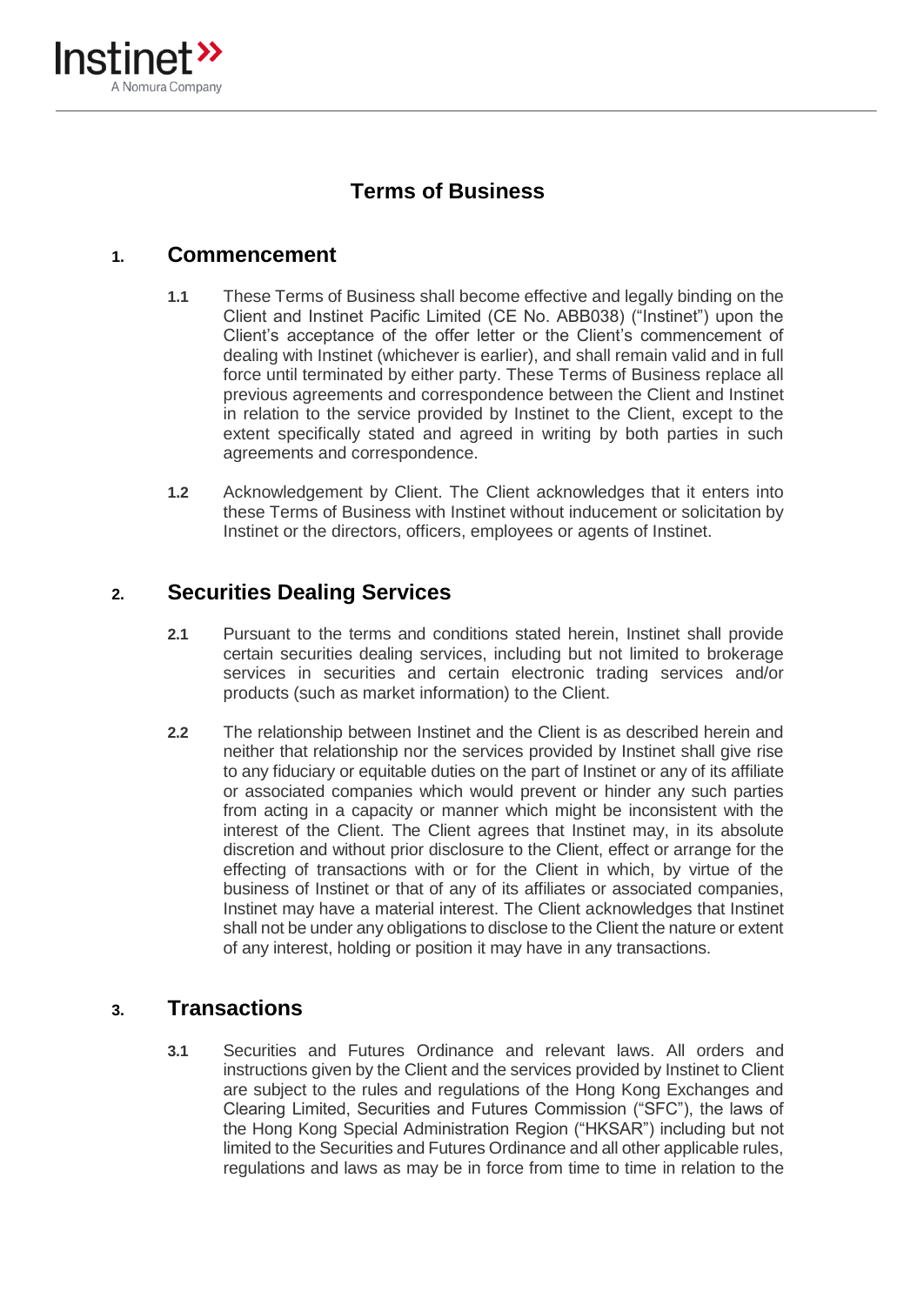

# **Terms of Business**

### **1. Commencement**

- **1.1** These Terms of Business shall become effective and legally binding on the Client and Instinet Pacific Limited (CE No. ABB038) ("Instinet") upon the Client's acceptance of the offer letter or the Client's commencement of dealing with Instinet (whichever is earlier), and shall remain valid and in full force until terminated by either party. These Terms of Business replace all previous agreements and correspondence between the Client and Instinet in relation to the service provided by Instinet to the Client, except to the extent specifically stated and agreed in writing by both parties in such agreements and correspondence.
- **1.2** Acknowledgement by Client. The Client acknowledges that it enters into these Terms of Business with Instinet without inducement or solicitation by Instinet or the directors, officers, employees or agents of Instinet.

## **2. Securities Dealing Services**

- **2.1** Pursuant to the terms and conditions stated herein, Instinet shall provide certain securities dealing services, including but not limited to brokerage services in securities and certain electronic trading services and/or products (such as market information) to the Client.
- **2.2** The relationship between Instinet and the Client is as described herein and neither that relationship nor the services provided by Instinet shall give rise to any fiduciary or equitable duties on the part of Instinet or any of its affiliate or associated companies which would prevent or hinder any such parties from acting in a capacity or manner which might be inconsistent with the interest of the Client. The Client agrees that Instinet may, in its absolute discretion and without prior disclosure to the Client, effect or arrange for the effecting of transactions with or for the Client in which, by virtue of the business of Instinet or that of any of its affiliates or associated companies, Instinet may have a material interest. The Client acknowledges that Instinet shall not be under any obligations to disclose to the Client the nature or extent of any interest, holding or position it may have in any transactions.

### **3. Transactions**

**3.1** Securities and Futures Ordinance and relevant laws. All orders and instructions given by the Client and the services provided by Instinet to Client are subject to the rules and regulations of the Hong Kong Exchanges and Clearing Limited, Securities and Futures Commission ("SFC"), the laws of the Hong Kong Special Administration Region ("HKSAR") including but not limited to the Securities and Futures Ordinance and all other applicable rules, regulations and laws as may be in force from time to time in relation to the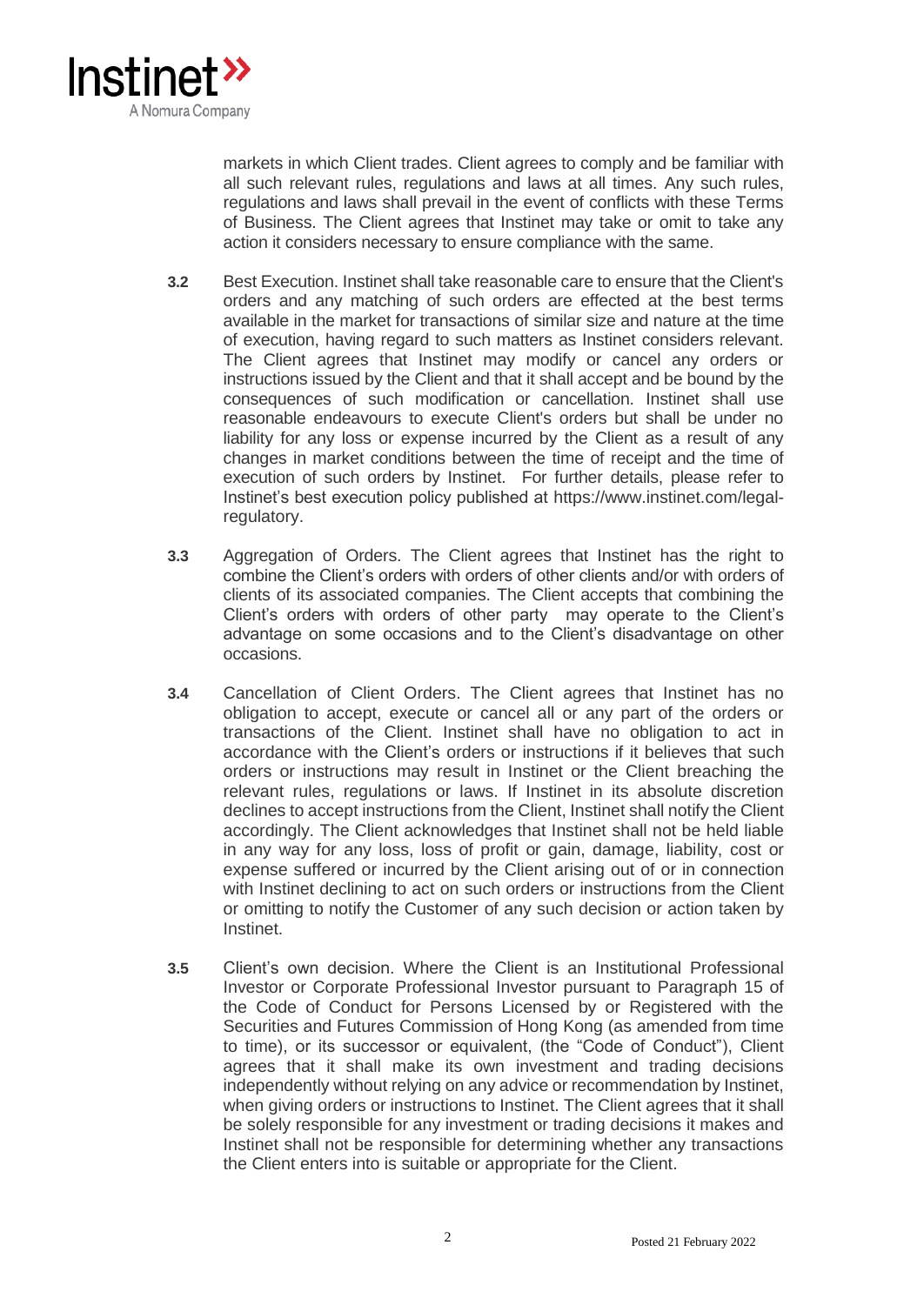

markets in which Client trades. Client agrees to comply and be familiar with all such relevant rules, regulations and laws at all times. Any such rules, regulations and laws shall prevail in the event of conflicts with these Terms of Business. The Client agrees that Instinet may take or omit to take any action it considers necessary to ensure compliance with the same.

- **3.2** Best Execution. Instinet shall take reasonable care to ensure that the Client's orders and any matching of such orders are effected at the best terms available in the market for transactions of similar size and nature at the time of execution, having regard to such matters as Instinet considers relevant. The Client agrees that Instinet may modify or cancel any orders or instructions issued by the Client and that it shall accept and be bound by the consequences of such modification or cancellation. Instinet shall use reasonable endeavours to execute Client's orders but shall be under no liability for any loss or expense incurred by the Client as a result of any changes in market conditions between the time of receipt and the time of execution of such orders by Instinet. For further details, please refer to Instinet's best execution policy published at https://www.instinet.com/legalregulatory.
- **3.3** Aggregation of Orders. The Client agrees that Instinet has the right to combine the Client's orders with orders of other clients and/or with orders of clients of its associated companies. The Client accepts that combining the Client's orders with orders of other party may operate to the Client's advantage on some occasions and to the Client's disadvantage on other occasions.
- **3.4** Cancellation of Client Orders. The Client agrees that Instinet has no obligation to accept, execute or cancel all or any part of the orders or transactions of the Client. Instinet shall have no obligation to act in accordance with the Client's orders or instructions if it believes that such orders or instructions may result in Instinet or the Client breaching the relevant rules, regulations or laws. If Instinet in its absolute discretion declines to accept instructions from the Client, Instinet shall notify the Client accordingly. The Client acknowledges that Instinet shall not be held liable in any way for any loss, loss of profit or gain, damage, liability, cost or expense suffered or incurred by the Client arising out of or in connection with Instinet declining to act on such orders or instructions from the Client or omitting to notify the Customer of any such decision or action taken by Instinet.
- **3.5** Client's own decision. Where the Client is an Institutional Professional Investor or Corporate Professional Investor pursuant to Paragraph 15 of the Code of Conduct for Persons Licensed by or Registered with the Securities and Futures Commission of Hong Kong (as amended from time to time), or its successor or equivalent, (the "Code of Conduct"), Client agrees that it shall make its own investment and trading decisions independently without relying on any advice or recommendation by Instinet, when giving orders or instructions to Instinet. The Client agrees that it shall be solely responsible for any investment or trading decisions it makes and Instinet shall not be responsible for determining whether any transactions the Client enters into is suitable or appropriate for the Client.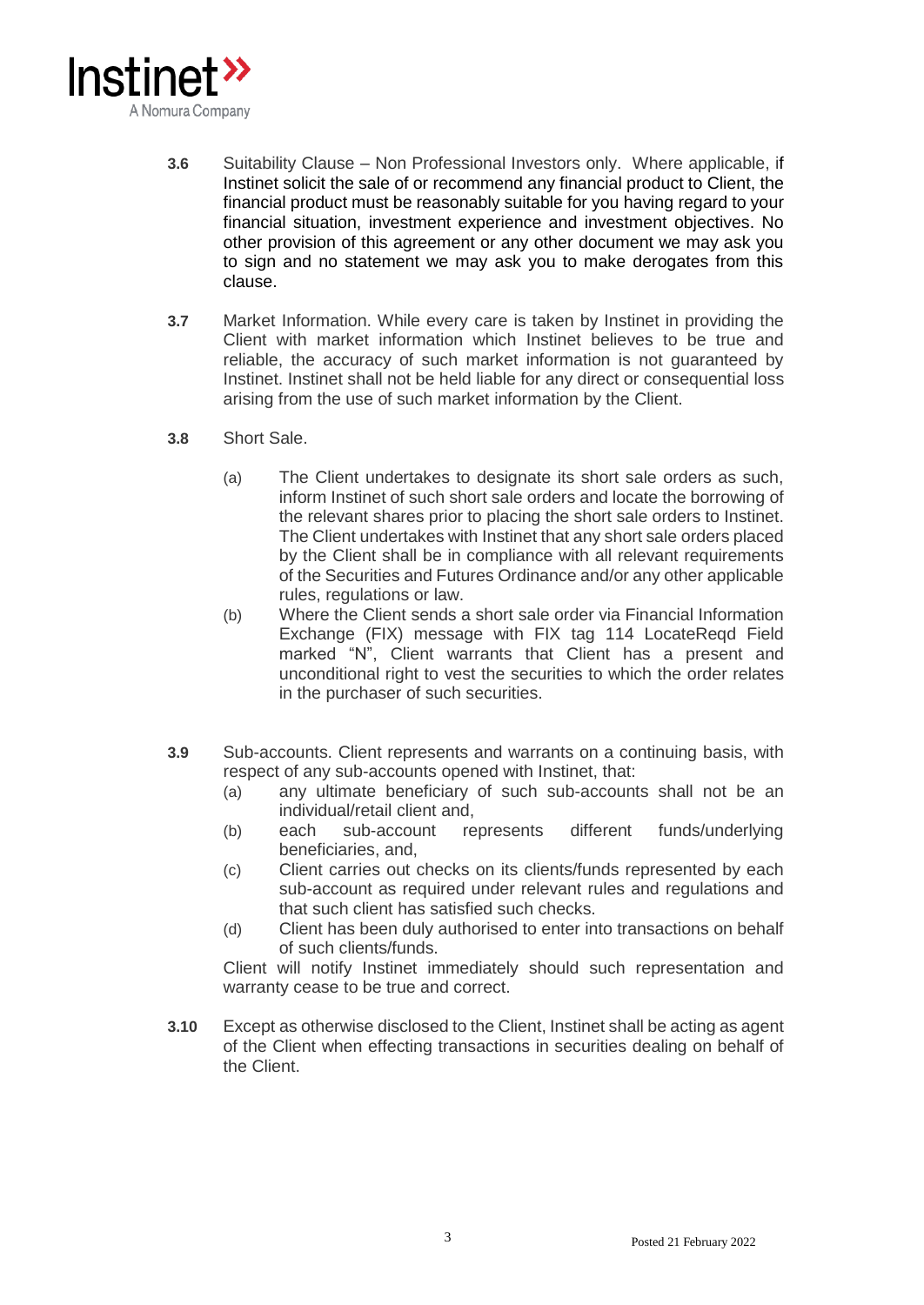

- **3.6** Suitability Clause Non Professional Investors only. Where applicable, if Instinet solicit the sale of or recommend any financial product to Client, the financial product must be reasonably suitable for you having regard to your financial situation, investment experience and investment objectives. No other provision of this agreement or any other document we may ask you to sign and no statement we may ask you to make derogates from this clause.
- **3.7** Market Information. While every care is taken by Instinet in providing the Client with market information which Instinet believes to be true and reliable, the accuracy of such market information is not guaranteed by Instinet. Instinet shall not be held liable for any direct or consequential loss arising from the use of such market information by the Client.
- **3.8** Short Sale.
	- (a) The Client undertakes to designate its short sale orders as such, inform Instinet of such short sale orders and locate the borrowing of the relevant shares prior to placing the short sale orders to Instinet. The Client undertakes with Instinet that any short sale orders placed by the Client shall be in compliance with all relevant requirements of the Securities and Futures Ordinance and/or any other applicable rules, regulations or law.
	- (b) Where the Client sends a short sale order via Financial Information Exchange (FIX) message with FIX tag 114 LocateReqd Field marked "N", Client warrants that Client has a present and unconditional right to vest the securities to which the order relates in the purchaser of such securities.
- **3.9** Sub-accounts. Client represents and warrants on a continuing basis, with respect of any sub-accounts opened with Instinet, that:
	- (a) any ultimate beneficiary of such sub-accounts shall not be an individual/retail client and,
	- (b) each sub-account represents different funds/underlying beneficiaries, and,
	- (c) Client carries out checks on its clients/funds represented by each sub-account as required under relevant rules and regulations and that such client has satisfied such checks.
	- (d) Client has been duly authorised to enter into transactions on behalf of such clients/funds.

Client will notify Instinet immediately should such representation and warranty cease to be true and correct.

**3.10** Except as otherwise disclosed to the Client, Instinet shall be acting as agent of the Client when effecting transactions in securities dealing on behalf of the Client.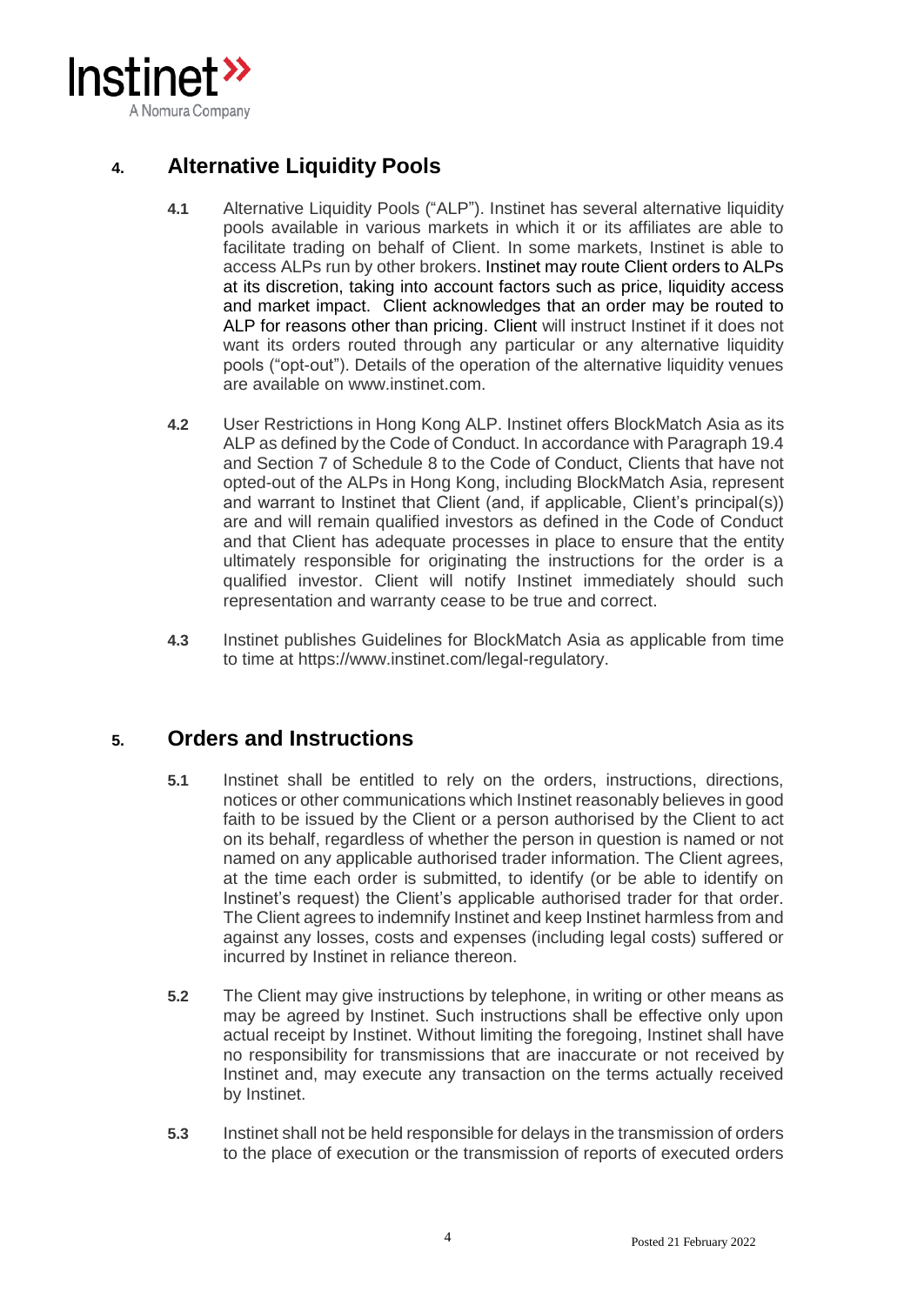

# **4. Alternative Liquidity Pools**

- **4.1** Alternative Liquidity Pools ("ALP"). Instinet has several alternative liquidity pools available in various markets in which it or its affiliates are able to facilitate trading on behalf of Client. In some markets, Instinet is able to access ALPs run by other brokers. Instinet may route Client orders to ALPs at its discretion, taking into account factors such as price, liquidity access and market impact. Client acknowledges that an order may be routed to ALP for reasons other than pricing. Client will instruct Instinet if it does not want its orders routed through any particular or any alternative liquidity pools ("opt-out"). Details of the operation of the alternative liquidity venues are available on www.instinet.com.
- **4.2** User Restrictions in Hong Kong ALP. Instinet offers BlockMatch Asia as its ALP as defined by the Code of Conduct. In accordance with Paragraph 19.4 and Section 7 of Schedule 8 to the Code of Conduct, Clients that have not opted-out of the ALPs in Hong Kong, including BlockMatch Asia, represent and warrant to Instinet that Client (and, if applicable, Client's principal(s)) are and will remain qualified investors as defined in the Code of Conduct and that Client has adequate processes in place to ensure that the entity ultimately responsible for originating the instructions for the order is a qualified investor. Client will notify Instinet immediately should such representation and warranty cease to be true and correct.
- **4.3** Instinet publishes Guidelines for BlockMatch Asia as applicable from time to time at https://www.instinet.com/legal-regulatory.

## **5. Orders and Instructions**

- **5.1** Instinet shall be entitled to rely on the orders, instructions, directions, notices or other communications which Instinet reasonably believes in good faith to be issued by the Client or a person authorised by the Client to act on its behalf, regardless of whether the person in question is named or not named on any applicable authorised trader information. The Client agrees, at the time each order is submitted, to identify (or be able to identify on Instinet's request) the Client's applicable authorised trader for that order. The Client agrees to indemnify Instinet and keep Instinet harmless from and against any losses, costs and expenses (including legal costs) suffered or incurred by Instinet in reliance thereon.
- **5.2** The Client may give instructions by telephone, in writing or other means as may be agreed by Instinet. Such instructions shall be effective only upon actual receipt by Instinet. Without limiting the foregoing, Instinet shall have no responsibility for transmissions that are inaccurate or not received by Instinet and, may execute any transaction on the terms actually received by Instinet.
- **5.3** Instinet shall not be held responsible for delays in the transmission of orders to the place of execution or the transmission of reports of executed orders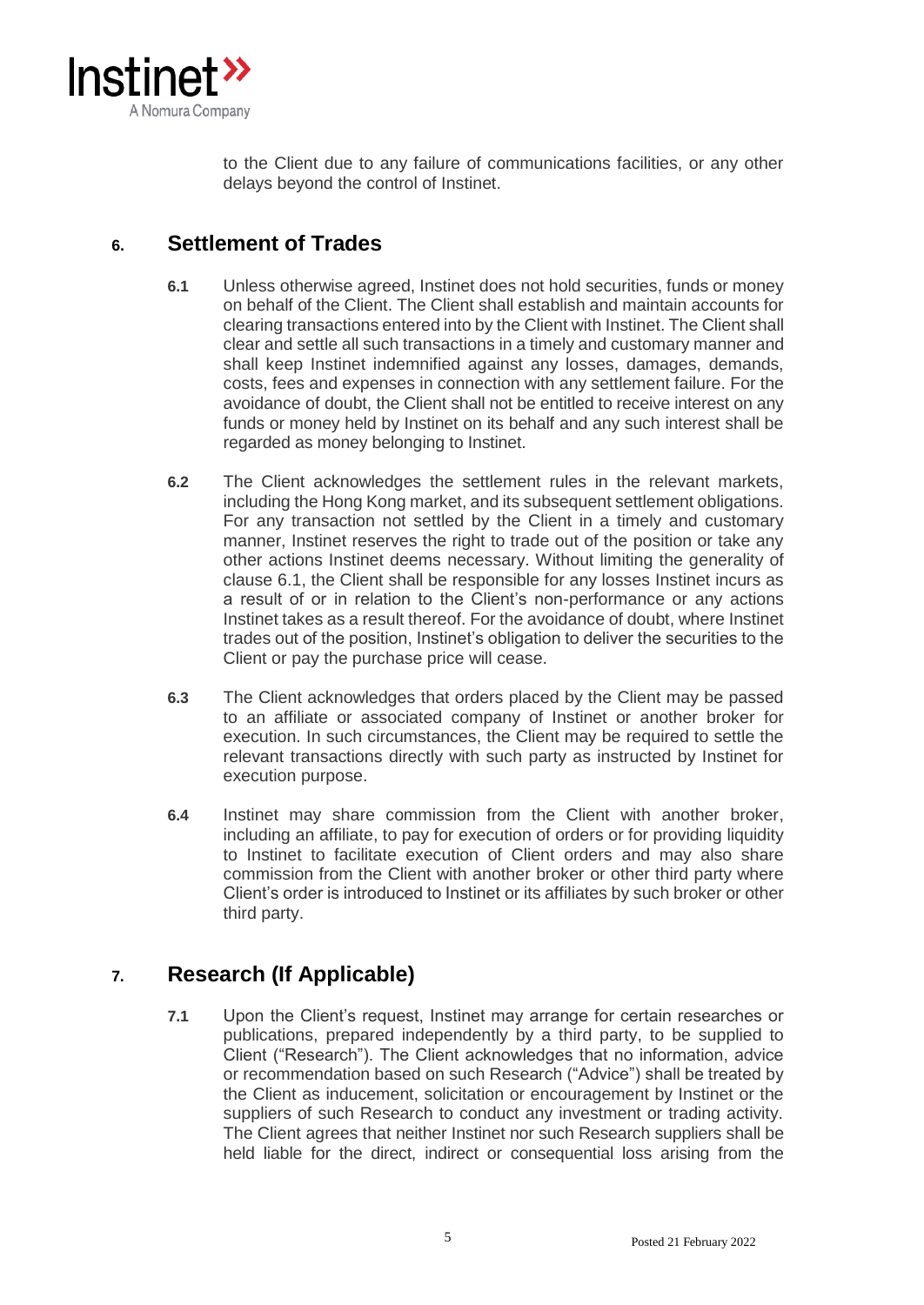

to the Client due to any failure of communications facilities, or any other delays beyond the control of Instinet.

# **6. Settlement of Trades**

- **6.1** Unless otherwise agreed, Instinet does not hold securities, funds or money on behalf of the Client. The Client shall establish and maintain accounts for clearing transactions entered into by the Client with Instinet. The Client shall clear and settle all such transactions in a timely and customary manner and shall keep Instinet indemnified against any losses, damages, demands, costs, fees and expenses in connection with any settlement failure. For the avoidance of doubt, the Client shall not be entitled to receive interest on any funds or money held by Instinet on its behalf and any such interest shall be regarded as money belonging to Instinet.
- **6.2** The Client acknowledges the settlement rules in the relevant markets, including the Hong Kong market, and its subsequent settlement obligations. For any transaction not settled by the Client in a timely and customary manner, Instinet reserves the right to trade out of the position or take any other actions Instinet deems necessary. Without limiting the generality of clause 6.1, the Client shall be responsible for any losses Instinet incurs as a result of or in relation to the Client's non-performance or any actions Instinet takes as a result thereof. For the avoidance of doubt, where Instinet trades out of the position, Instinet's obligation to deliver the securities to the Client or pay the purchase price will cease.
- **6.3** The Client acknowledges that orders placed by the Client may be passed to an affiliate or associated company of Instinet or another broker for execution. In such circumstances, the Client may be required to settle the relevant transactions directly with such party as instructed by Instinet for execution purpose.
- **6.4** Instinet may share commission from the Client with another broker, including an affiliate, to pay for execution of orders or for providing liquidity to Instinet to facilitate execution of Client orders and may also share commission from the Client with another broker or other third party where Client's order is introduced to Instinet or its affiliates by such broker or other third party.

# **7. Research (If Applicable)**

**7.1** Upon the Client's request, Instinet may arrange for certain researches or publications, prepared independently by a third party, to be supplied to Client ("Research"). The Client acknowledges that no information, advice or recommendation based on such Research ("Advice") shall be treated by the Client as inducement, solicitation or encouragement by Instinet or the suppliers of such Research to conduct any investment or trading activity. The Client agrees that neither Instinet nor such Research suppliers shall be held liable for the direct, indirect or consequential loss arising from the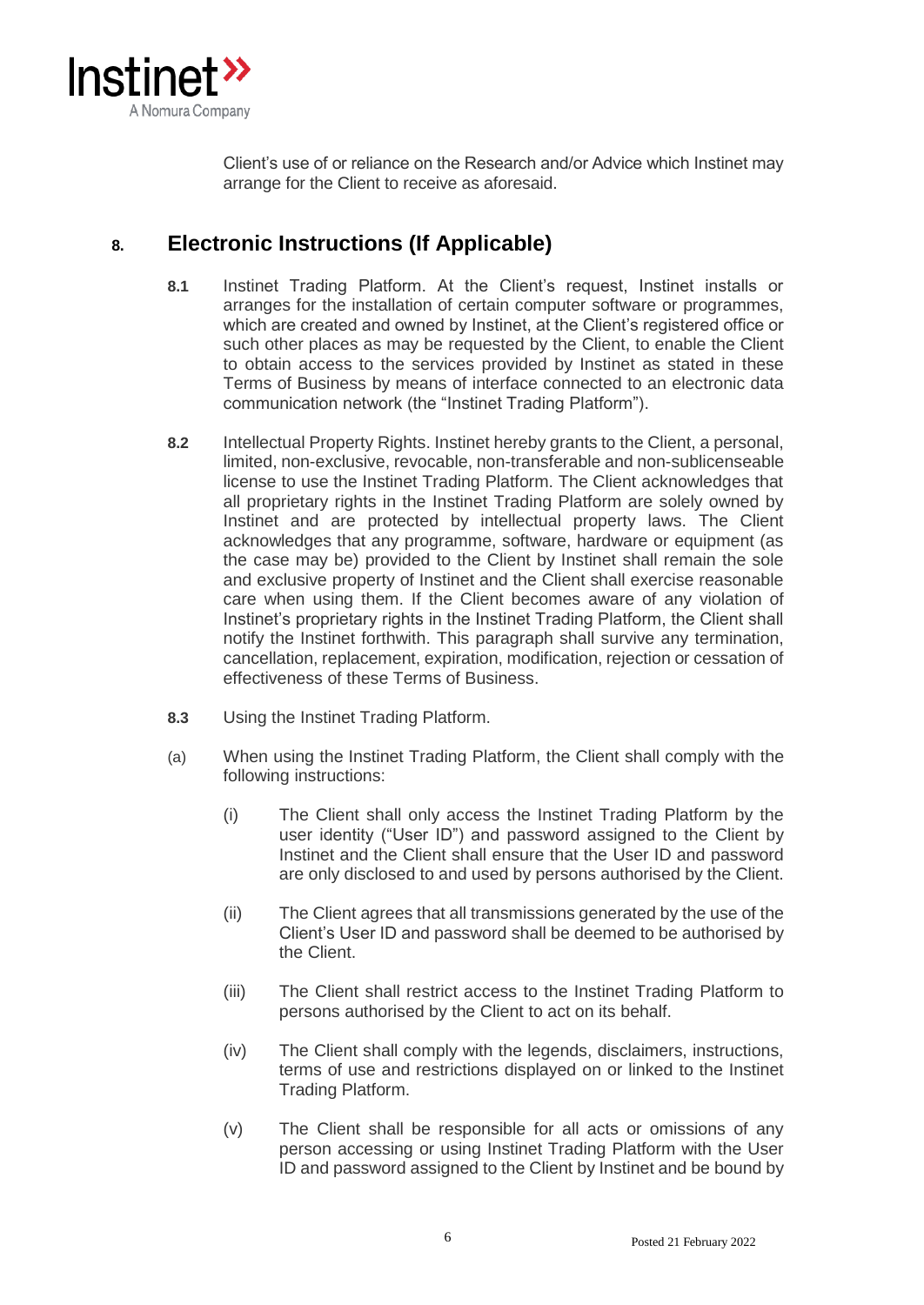

Client's use of or reliance on the Research and/or Advice which Instinet may arrange for the Client to receive as aforesaid.

# **8. Electronic Instructions (If Applicable)**

- **8.1** Instinet Trading Platform. At the Client's request, Instinet installs or arranges for the installation of certain computer software or programmes, which are created and owned by Instinet, at the Client's registered office or such other places as may be requested by the Client, to enable the Client to obtain access to the services provided by Instinet as stated in these Terms of Business by means of interface connected to an electronic data communication network (the "Instinet Trading Platform").
- **8.2** Intellectual Property Rights. Instinet hereby grants to the Client, a personal, limited, non-exclusive, revocable, non-transferable and non-sublicenseable license to use the Instinet Trading Platform. The Client acknowledges that all proprietary rights in the Instinet Trading Platform are solely owned by Instinet and are protected by intellectual property laws. The Client acknowledges that any programme, software, hardware or equipment (as the case may be) provided to the Client by Instinet shall remain the sole and exclusive property of Instinet and the Client shall exercise reasonable care when using them. If the Client becomes aware of any violation of Instinet's proprietary rights in the Instinet Trading Platform, the Client shall notify the Instinet forthwith. This paragraph shall survive any termination, cancellation, replacement, expiration, modification, rejection or cessation of effectiveness of these Terms of Business.
- **8.3** Using the Instinet Trading Platform.
- (a) When using the Instinet Trading Platform, the Client shall comply with the following instructions:
	- (i) The Client shall only access the Instinet Trading Platform by the user identity ("User ID") and password assigned to the Client by Instinet and the Client shall ensure that the User ID and password are only disclosed to and used by persons authorised by the Client.
	- (ii) The Client agrees that all transmissions generated by the use of the Client's User ID and password shall be deemed to be authorised by the Client.
	- (iii) The Client shall restrict access to the Instinet Trading Platform to persons authorised by the Client to act on its behalf.
	- (iv) The Client shall comply with the legends, disclaimers, instructions, terms of use and restrictions displayed on or linked to the Instinet Trading Platform.
	- (v) The Client shall be responsible for all acts or omissions of any person accessing or using Instinet Trading Platform with the User ID and password assigned to the Client by Instinet and be bound by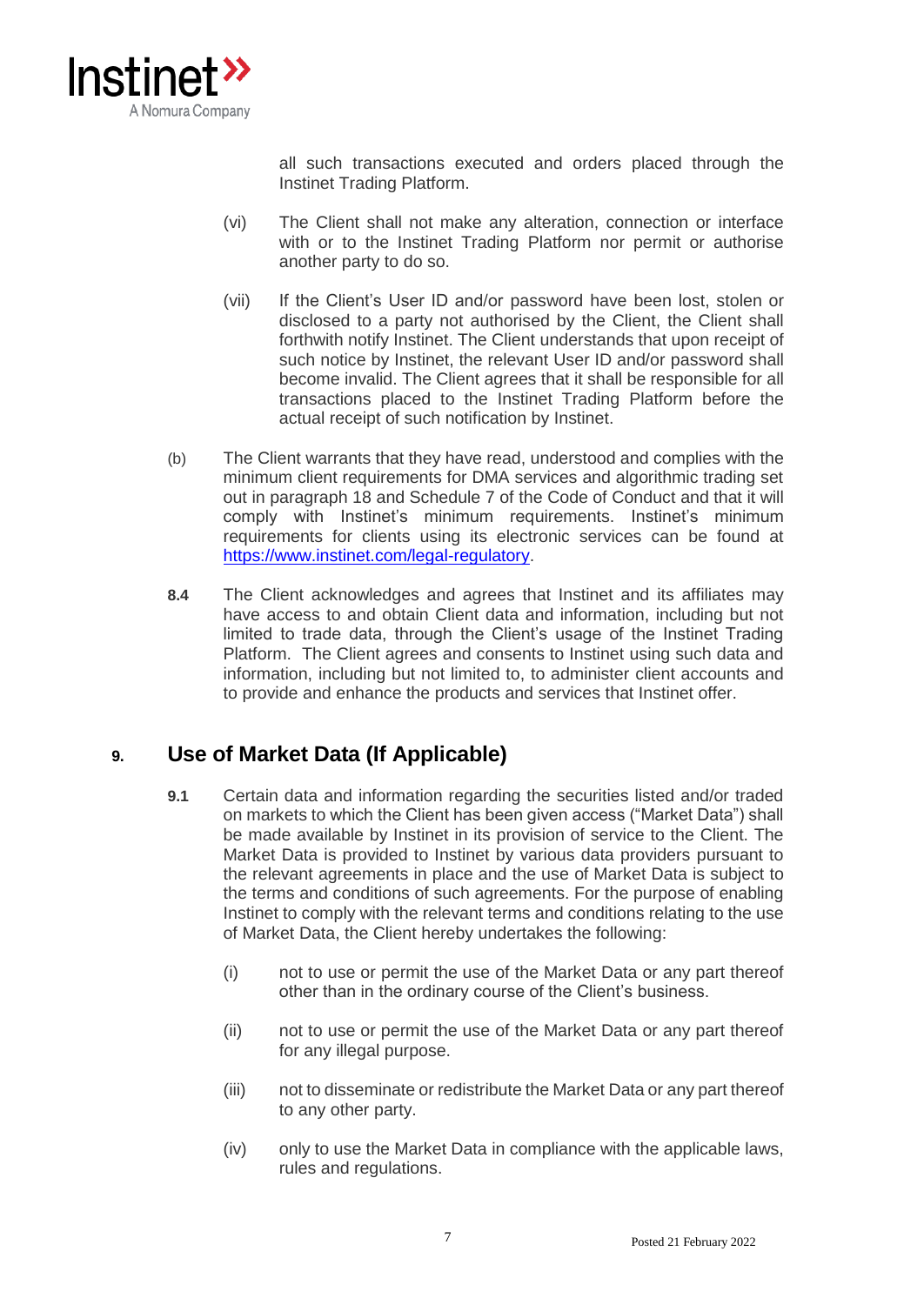

all such transactions executed and orders placed through the Instinet Trading Platform.

- (vi) The Client shall not make any alteration, connection or interface with or to the Instinet Trading Platform nor permit or authorise another party to do so.
- (vii) If the Client's User ID and/or password have been lost, stolen or disclosed to a party not authorised by the Client, the Client shall forthwith notify Instinet. The Client understands that upon receipt of such notice by Instinet, the relevant User ID and/or password shall become invalid. The Client agrees that it shall be responsible for all transactions placed to the Instinet Trading Platform before the actual receipt of such notification by Instinet.
- (b) The Client warrants that they have read, understood and complies with the minimum client requirements for DMA services and algorithmic trading set out in paragraph 18 and Schedule 7 of the Code of Conduct and that it will comply with Instinet's minimum requirements. Instinet's minimum requirements for clients using its electronic services can be found at [https://www.instinet.com/legal-regulatory.](https://www.instinet.com/legal-regulatory)
- **8.4** The Client acknowledges and agrees that Instinet and its affiliates may have access to and obtain Client data and information, including but not limited to trade data, through the Client's usage of the Instinet Trading Platform. The Client agrees and consents to Instinet using such data and information, including but not limited to, to administer client accounts and to provide and enhance the products and services that Instinet offer.

# **9. Use of Market Data (If Applicable)**

- **9.1** Certain data and information regarding the securities listed and/or traded on markets to which the Client has been given access ("Market Data") shall be made available by Instinet in its provision of service to the Client. The Market Data is provided to Instinet by various data providers pursuant to the relevant agreements in place and the use of Market Data is subject to the terms and conditions of such agreements. For the purpose of enabling Instinet to comply with the relevant terms and conditions relating to the use of Market Data, the Client hereby undertakes the following:
	- (i) not to use or permit the use of the Market Data or any part thereof other than in the ordinary course of the Client's business.
	- (ii) not to use or permit the use of the Market Data or any part thereof for any illegal purpose.
	- (iii) not to disseminate or redistribute the Market Data or any part thereof to any other party.
	- (iv) only to use the Market Data in compliance with the applicable laws, rules and regulations.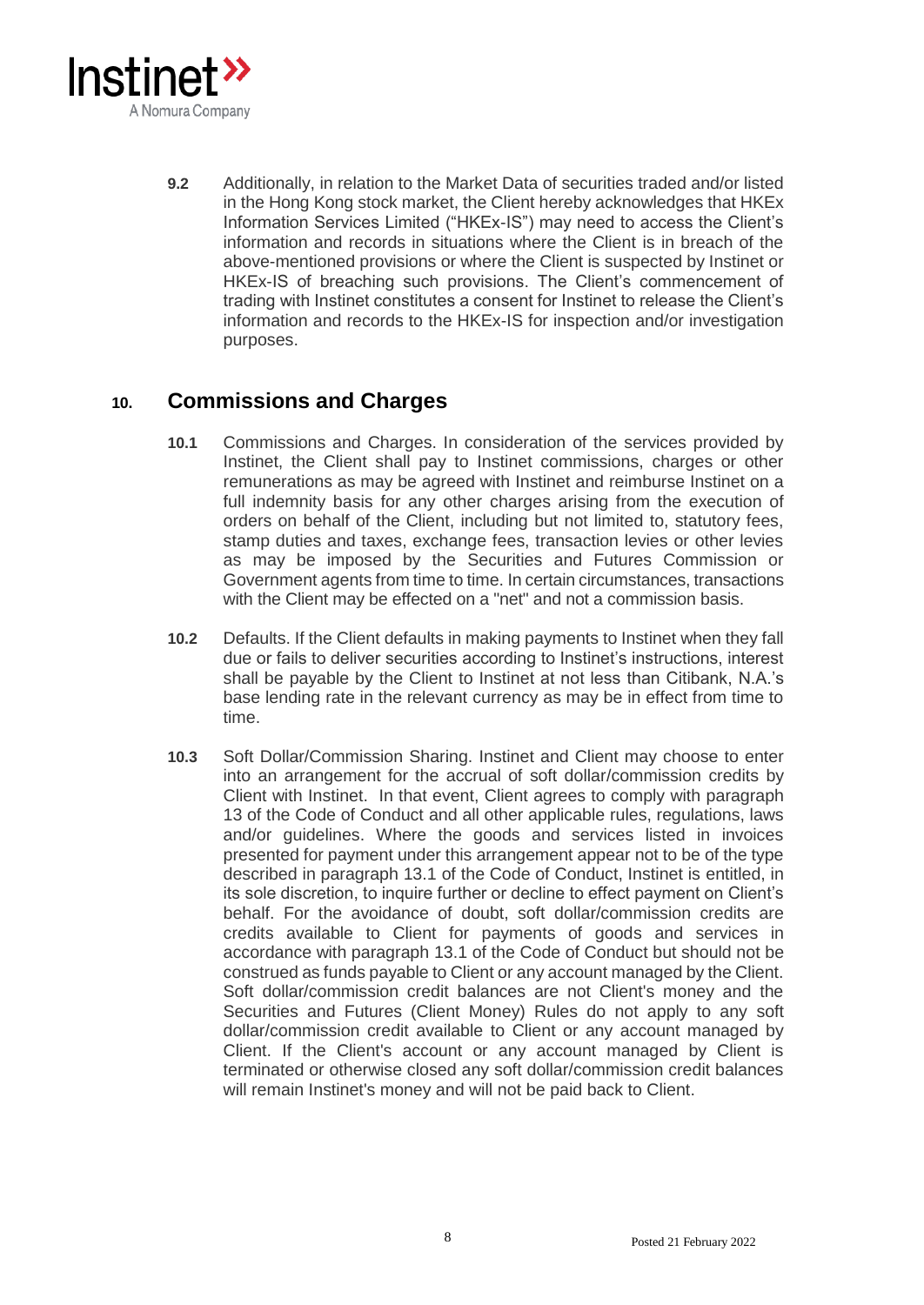

**9.2** Additionally, in relation to the Market Data of securities traded and/or listed in the Hong Kong stock market, the Client hereby acknowledges that HKEx Information Services Limited ("HKEx-IS") may need to access the Client's information and records in situations where the Client is in breach of the above-mentioned provisions or where the Client is suspected by Instinet or HKEx-IS of breaching such provisions. The Client's commencement of trading with Instinet constitutes a consent for Instinet to release the Client's information and records to the HKEx-IS for inspection and/or investigation purposes.

# **10. Commissions and Charges**

- **10.1** Commissions and Charges. In consideration of the services provided by Instinet, the Client shall pay to Instinet commissions, charges or other remunerations as may be agreed with Instinet and reimburse Instinet on a full indemnity basis for any other charges arising from the execution of orders on behalf of the Client, including but not limited to, statutory fees, stamp duties and taxes, exchange fees, transaction levies or other levies as may be imposed by the Securities and Futures Commission or Government agents from time to time. In certain circumstances, transactions with the Client may be effected on a "net" and not a commission basis.
- **10.2** Defaults. If the Client defaults in making payments to Instinet when they fall due or fails to deliver securities according to Instinet's instructions, interest shall be payable by the Client to Instinet at not less than Citibank, N.A.'s base lending rate in the relevant currency as may be in effect from time to time.
- **10.3** Soft Dollar/Commission Sharing. Instinet and Client may choose to enter into an arrangement for the accrual of soft dollar/commission credits by Client with Instinet. In that event, Client agrees to comply with paragraph 13 of the Code of Conduct and all other applicable rules, regulations, laws and/or guidelines. Where the goods and services listed in invoices presented for payment under this arrangement appear not to be of the type described in paragraph 13.1 of the Code of Conduct, Instinet is entitled, in its sole discretion, to inquire further or decline to effect payment on Client's behalf. For the avoidance of doubt, soft dollar/commission credits are credits available to Client for payments of goods and services in accordance with paragraph 13.1 of the Code of Conduct but should not be construed as funds payable to Client or any account managed by the Client. Soft dollar/commission credit balances are not Client's money and the Securities and Futures (Client Money) Rules do not apply to any soft dollar/commission credit available to Client or any account managed by Client. If the Client's account or any account managed by Client is terminated or otherwise closed any soft dollar/commission credit balances will remain Instinet's money and will not be paid back to Client.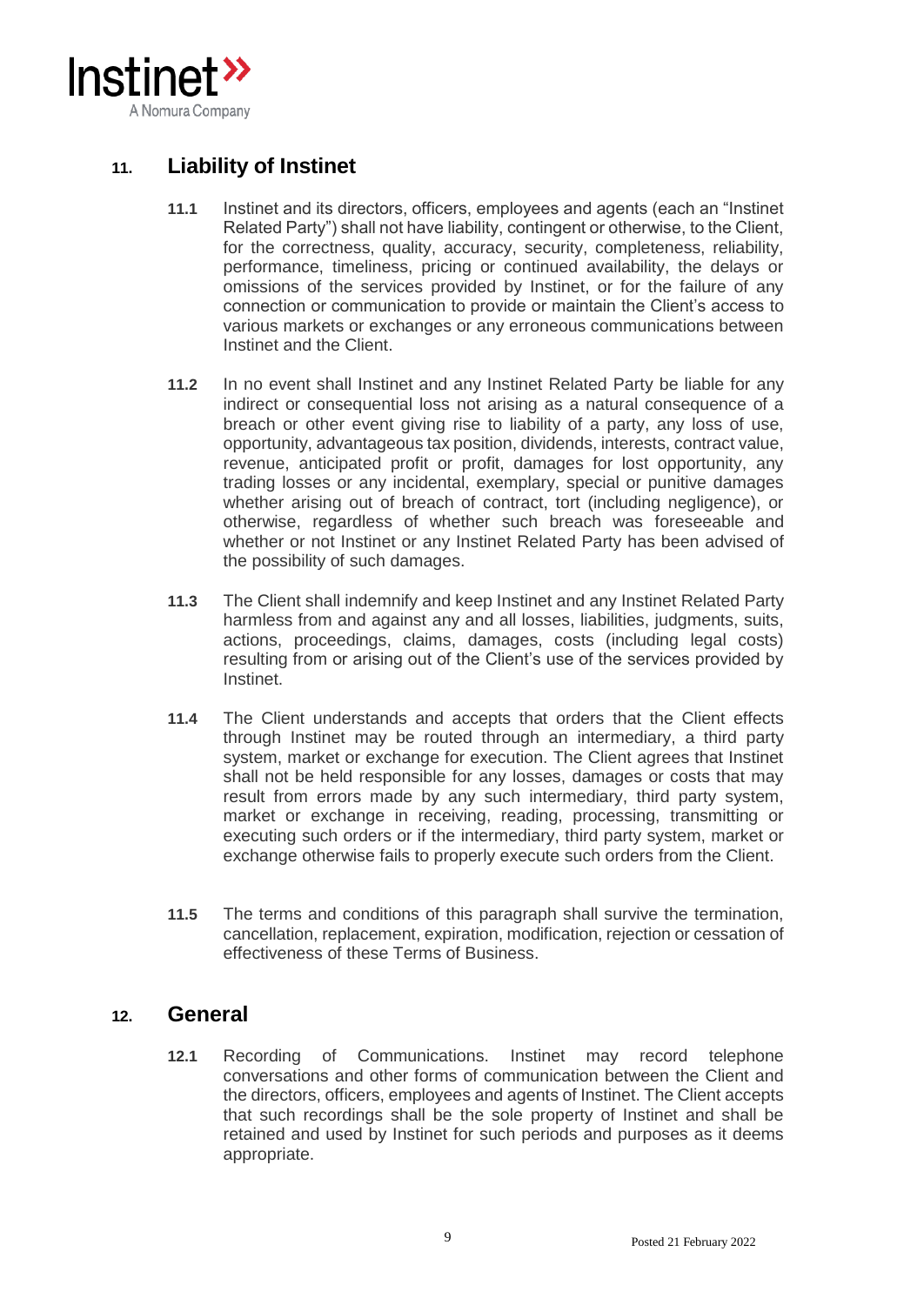

## **11. Liability of Instinet**

- **11.1** Instinet and its directors, officers, employees and agents (each an "Instinet Related Party") shall not have liability, contingent or otherwise, to the Client, for the correctness, quality, accuracy, security, completeness, reliability, performance, timeliness, pricing or continued availability, the delays or omissions of the services provided by Instinet, or for the failure of any connection or communication to provide or maintain the Client's access to various markets or exchanges or any erroneous communications between Instinet and the Client.
- **11.2** In no event shall Instinet and any Instinet Related Party be liable for any indirect or consequential loss not arising as a natural consequence of a breach or other event giving rise to liability of a party, any loss of use, opportunity, advantageous tax position, dividends, interests, contract value, revenue, anticipated profit or profit, damages for lost opportunity, any trading losses or any incidental, exemplary, special or punitive damages whether arising out of breach of contract, tort (including negligence), or otherwise, regardless of whether such breach was foreseeable and whether or not Instinet or any Instinet Related Party has been advised of the possibility of such damages.
- **11.3** The Client shall indemnify and keep Instinet and any Instinet Related Party harmless from and against any and all losses, liabilities, judgments, suits, actions, proceedings, claims, damages, costs (including legal costs) resulting from or arising out of the Client's use of the services provided by Instinet.
- **11.4** The Client understands and accepts that orders that the Client effects through Instinet may be routed through an intermediary, a third party system, market or exchange for execution. The Client agrees that Instinet shall not be held responsible for any losses, damages or costs that may result from errors made by any such intermediary, third party system, market or exchange in receiving, reading, processing, transmitting or executing such orders or if the intermediary, third party system, market or exchange otherwise fails to properly execute such orders from the Client.
- **11.5** The terms and conditions of this paragraph shall survive the termination, cancellation, replacement, expiration, modification, rejection or cessation of effectiveness of these Terms of Business.

### **12. General**

**12.1** Recording of Communications. Instinet may record telephone conversations and other forms of communication between the Client and the directors, officers, employees and agents of Instinet. The Client accepts that such recordings shall be the sole property of Instinet and shall be retained and used by Instinet for such periods and purposes as it deems appropriate.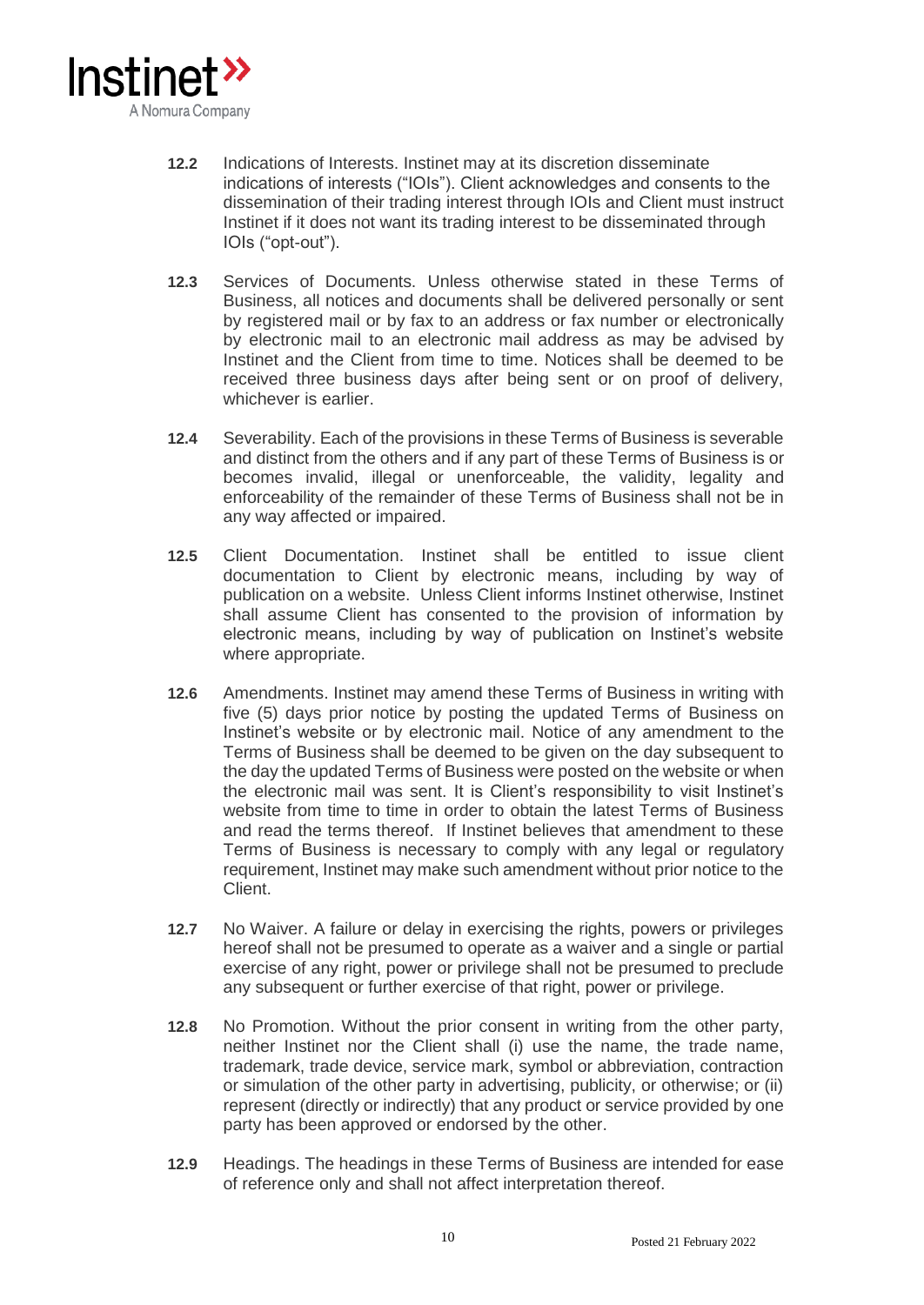

- **12.2** Indications of Interests. Instinet may at its discretion disseminate indications of interests ("IOIs"). Client acknowledges and consents to the dissemination of their trading interest through IOIs and Client must instruct Instinet if it does not want its trading interest to be disseminated through IOIs ("opt-out").
- **12.3** Services of Documents. Unless otherwise stated in these Terms of Business, all notices and documents shall be delivered personally or sent by registered mail or by fax to an address or fax number or electronically by electronic mail to an electronic mail address as may be advised by Instinet and the Client from time to time. Notices shall be deemed to be received three business days after being sent or on proof of delivery, whichever is earlier.
- **12.4** Severability. Each of the provisions in these Terms of Business is severable and distinct from the others and if any part of these Terms of Business is or becomes invalid, illegal or unenforceable, the validity, legality and enforceability of the remainder of these Terms of Business shall not be in any way affected or impaired.
- **12.5** Client Documentation. Instinet shall be entitled to issue client documentation to Client by electronic means, including by way of publication on a website. Unless Client informs Instinet otherwise, Instinet shall assume Client has consented to the provision of information by electronic means, including by way of publication on Instinet's website where appropriate.
- **12.6** Amendments. Instinet may amend these Terms of Business in writing with five (5) days prior notice by posting the updated Terms of Business on Instinet's website or by electronic mail. Notice of any amendment to the Terms of Business shall be deemed to be given on the day subsequent to the day the updated Terms of Business were posted on the website or when the electronic mail was sent. It is Client's responsibility to visit Instinet's website from time to time in order to obtain the latest Terms of Business and read the terms thereof. If Instinet believes that amendment to these Terms of Business is necessary to comply with any legal or regulatory requirement, Instinet may make such amendment without prior notice to the Client.
- **12.7** No Waiver. A failure or delay in exercising the rights, powers or privileges hereof shall not be presumed to operate as a waiver and a single or partial exercise of any right, power or privilege shall not be presumed to preclude any subsequent or further exercise of that right, power or privilege.
- **12.8** No Promotion. Without the prior consent in writing from the other party, neither Instinet nor the Client shall (i) use the name, the trade name, trademark, trade device, service mark, symbol or abbreviation, contraction or simulation of the other party in advertising, publicity, or otherwise; or (ii) represent (directly or indirectly) that any product or service provided by one party has been approved or endorsed by the other.
- **12.9** Headings. The headings in these Terms of Business are intended for ease of reference only and shall not affect interpretation thereof.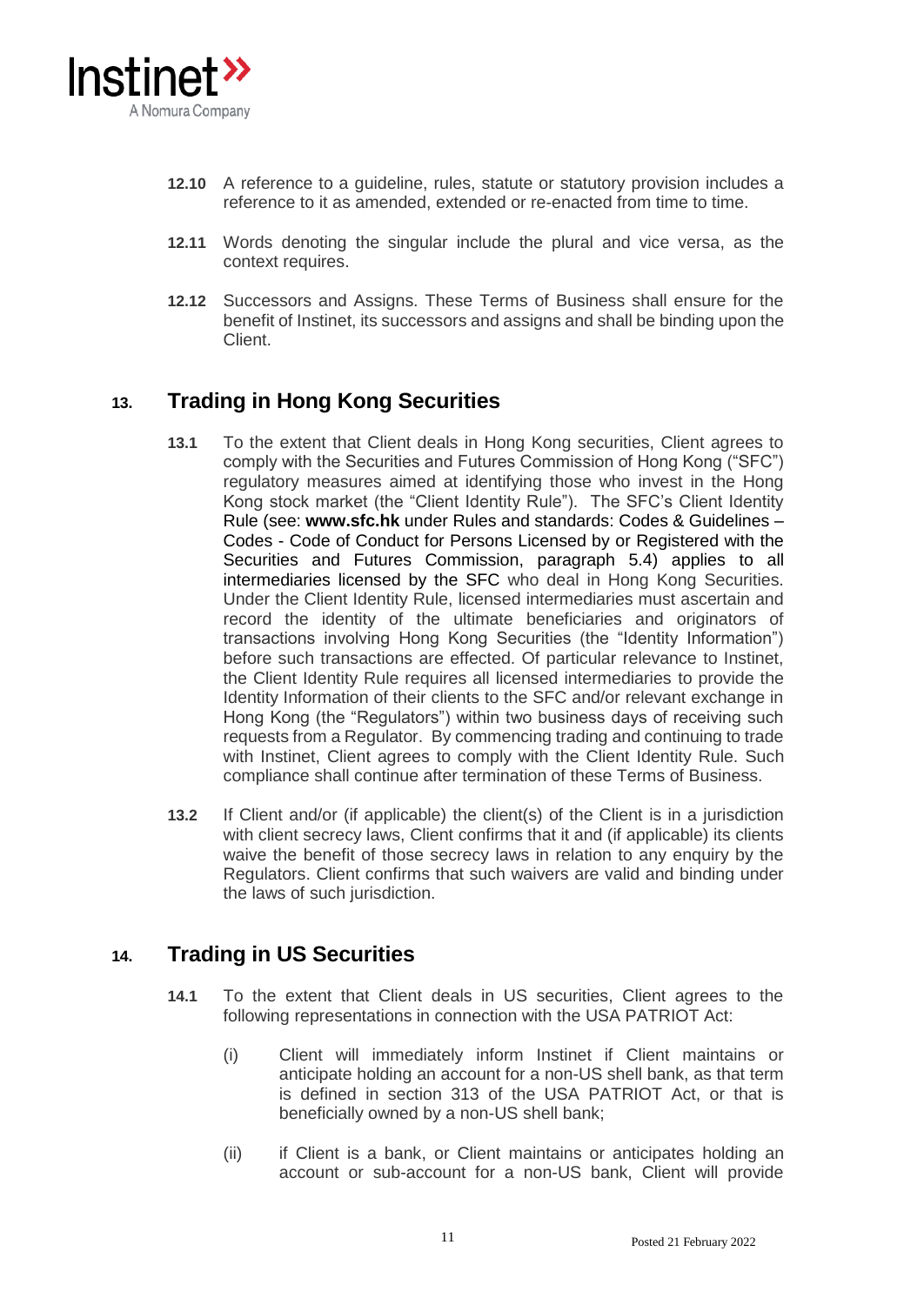

- **12.10** A reference to a guideline, rules, statute or statutory provision includes a reference to it as amended, extended or re-enacted from time to time.
- **12.11** Words denoting the singular include the plural and vice versa, as the context requires.
- **12.12** Successors and Assigns. These Terms of Business shall ensure for the benefit of Instinet, its successors and assigns and shall be binding upon the Client.

# **13. Trading in Hong Kong Securities**

- **13.1** To the extent that Client deals in Hong Kong securities, Client agrees to comply with the Securities and Futures Commission of Hong Kong ("SFC") regulatory measures aimed at identifying those who invest in the Hong Kong stock market (the "Client Identity Rule"). The SFC's Client Identity Rule (see: **www.sfc.hk** under Rules and standards: Codes & Guidelines – Codes - [Code of Conduct for Persons Licensed by or Registered with the](http://en-rules.sfc.hk/en/display/display_main.html?rbid=3527&element_id=1868)  [Securities and Futures Commission,](http://en-rules.sfc.hk/en/display/display_main.html?rbid=3527&element_id=1868) paragraph 5.4) applies to all intermediaries licensed by the SFC who deal in Hong Kong Securities. Under the Client Identity Rule, licensed intermediaries must ascertain and record the identity of the ultimate beneficiaries and originators of transactions involving Hong Kong Securities (the "Identity Information") before such transactions are effected. Of particular relevance to Instinet, the Client Identity Rule requires all licensed intermediaries to provide the Identity Information of their clients to the SFC and/or relevant exchange in Hong Kong (the "Regulators") within two business days of receiving such requests from a Regulator. By commencing trading and continuing to trade with Instinet. Client agrees to comply with the Client Identity Rule. Such compliance shall continue after termination of these Terms of Business.
- **13.2** If Client and/or (if applicable) the client(s) of the Client is in a jurisdiction with client secrecy laws, Client confirms that it and (if applicable) its clients waive the benefit of those secrecy laws in relation to any enquiry by the Regulators. Client confirms that such waivers are valid and binding under the laws of such jurisdiction.

## **14. Trading in US Securities**

- **14.1** To the extent that Client deals in US securities, Client agrees to the following representations in connection with the USA PATRIOT Act:
	- (i) Client will immediately inform Instinet if Client maintains or anticipate holding an account for a non-US shell bank, as that term is defined in section 313 of the USA PATRIOT Act, or that is beneficially owned by a non-US shell bank;
	- (ii) if Client is a bank, or Client maintains or anticipates holding an account or sub-account for a non-US bank, Client will provide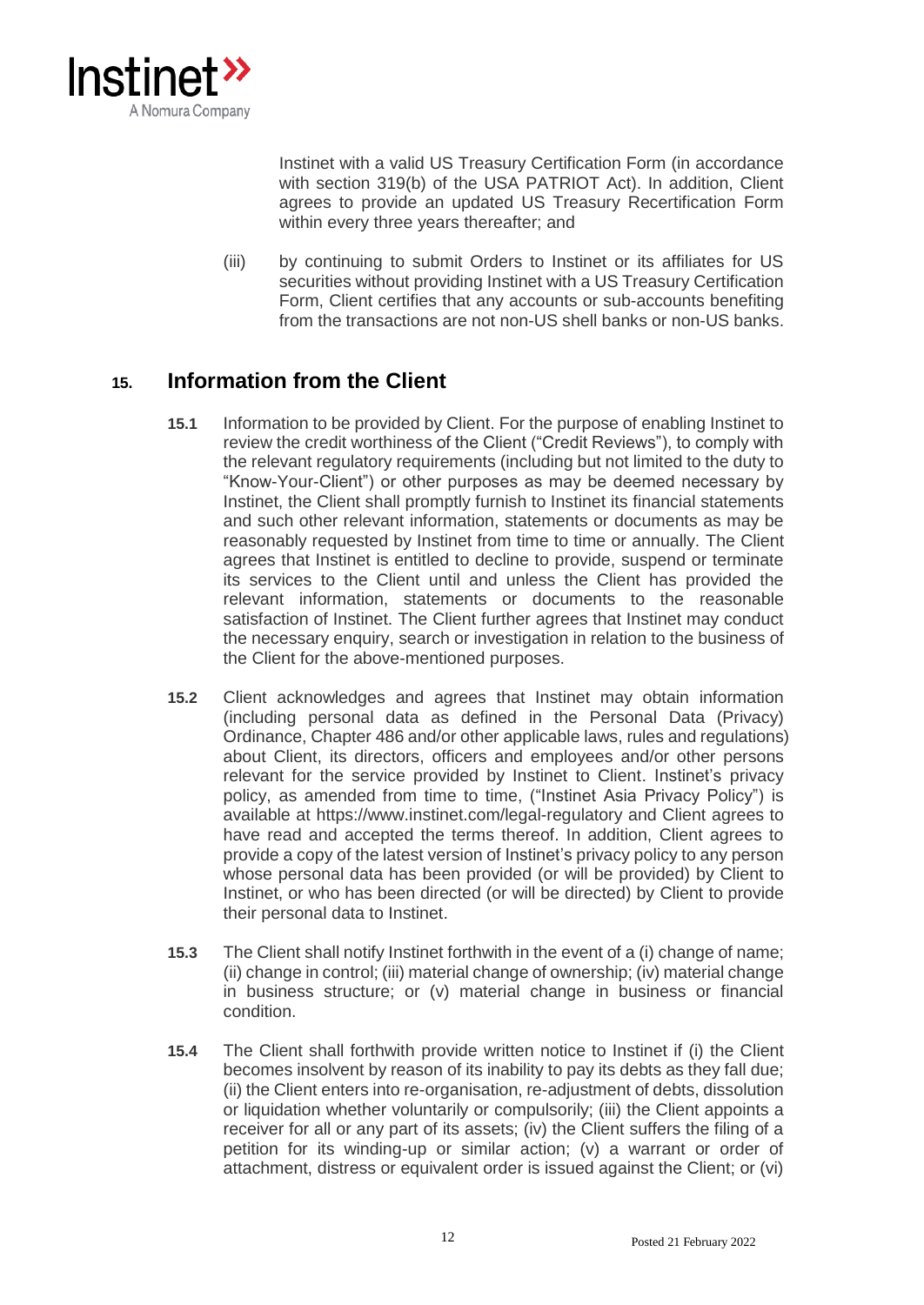

Instinet with a valid US Treasury Certification Form (in accordance with section 319(b) of the USA PATRIOT Act). In addition, Client agrees to provide an updated US Treasury Recertification Form within every three years thereafter; and

(iii) by continuing to submit Orders to Instinet or its affiliates for US securities without providing Instinet with a US Treasury Certification Form, Client certifies that any accounts or sub-accounts benefiting from the transactions are not non-US shell banks or non-US banks.

## **15. Information from the Client**

- **15.1** Information to be provided by Client. For the purpose of enabling Instinet to review the credit worthiness of the Client ("Credit Reviews"), to comply with the relevant regulatory requirements (including but not limited to the duty to "Know-Your-Client") or other purposes as may be deemed necessary by Instinet, the Client shall promptly furnish to Instinet its financial statements and such other relevant information, statements or documents as may be reasonably requested by Instinet from time to time or annually. The Client agrees that Instinet is entitled to decline to provide, suspend or terminate its services to the Client until and unless the Client has provided the relevant information, statements or documents to the reasonable satisfaction of Instinet. The Client further agrees that Instinet may conduct the necessary enquiry, search or investigation in relation to the business of the Client for the above-mentioned purposes.
- **15.2** Client acknowledges and agrees that Instinet may obtain information (including personal data as defined in the Personal Data (Privacy) Ordinance, Chapter 486 and/or other applicable laws, rules and regulations) about Client, its directors, officers and employees and/or other persons relevant for the service provided by Instinet to Client. Instinet's privacy policy, as amended from time to time, ("Instinet Asia Privacy Policy") is available at https://www.instinet.com/legal-regulatory and Client agrees to have read and accepted the terms thereof. In addition, Client agrees to provide a copy of the latest version of Instinet's privacy policy to any person whose personal data has been provided (or will be provided) by Client to Instinet, or who has been directed (or will be directed) by Client to provide their personal data to Instinet.
- **15.3** The Client shall notify Instinet forthwith in the event of a (i) change of name; (ii) change in control; (iii) material change of ownership; (iv) material change in business structure; or (v) material change in business or financial condition.
- **15.4** The Client shall forthwith provide written notice to Instinet if (i) the Client becomes insolvent by reason of its inability to pay its debts as they fall due; (ii) the Client enters into re-organisation, re-adjustment of debts, dissolution or liquidation whether voluntarily or compulsorily; (iii) the Client appoints a receiver for all or any part of its assets; (iv) the Client suffers the filing of a petition for its winding-up or similar action; (v) a warrant or order of attachment, distress or equivalent order is issued against the Client; or (vi)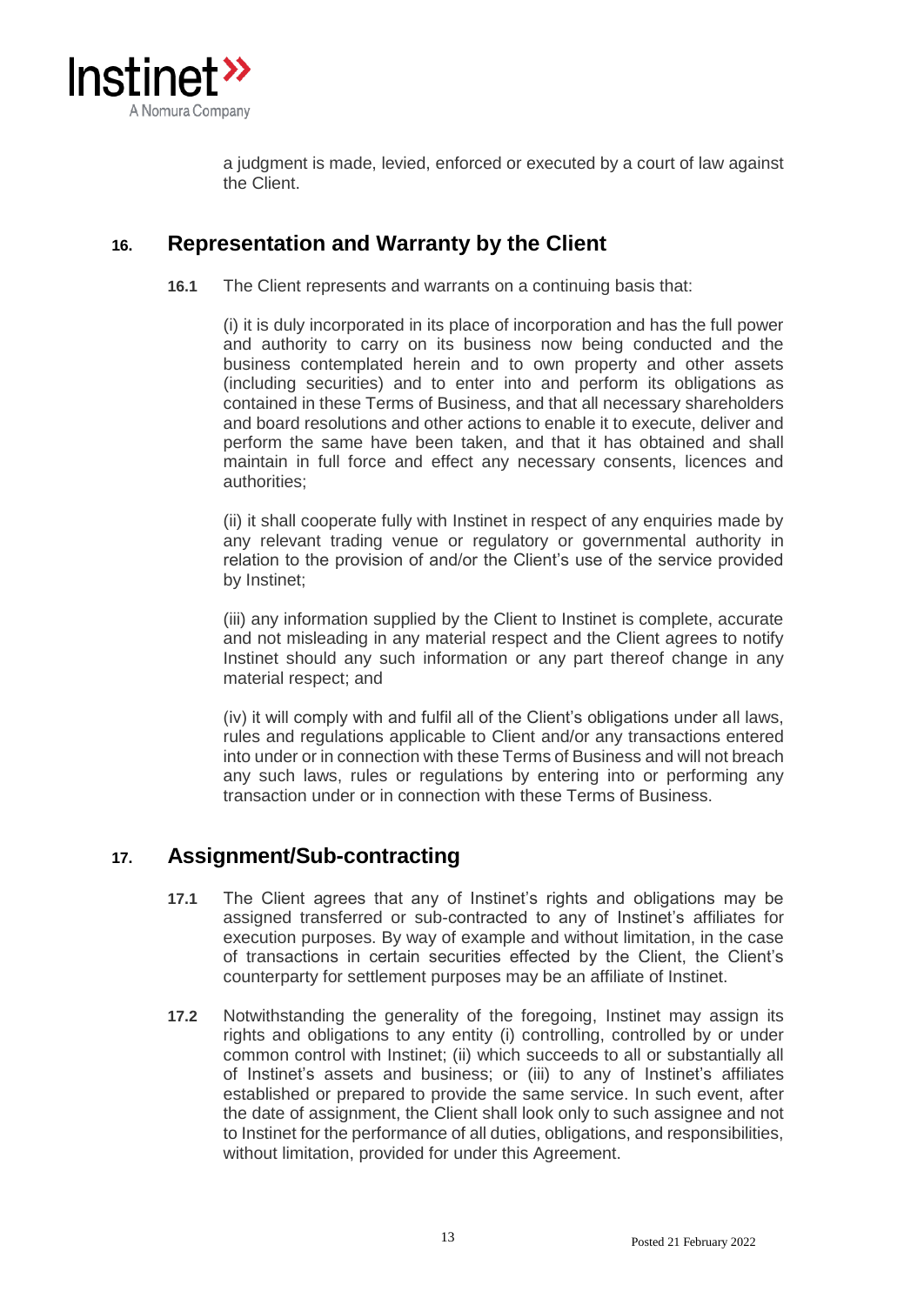

a judgment is made, levied, enforced or executed by a court of law against the Client.

### **16. Representation and Warranty by the Client**

**16.1** The Client represents and warrants on a continuing basis that:

(i) it is duly incorporated in its place of incorporation and has the full power and authority to carry on its business now being conducted and the business contemplated herein and to own property and other assets (including securities) and to enter into and perform its obligations as contained in these Terms of Business, and that all necessary shareholders and board resolutions and other actions to enable it to execute, deliver and perform the same have been taken, and that it has obtained and shall maintain in full force and effect any necessary consents, licences and authorities;

(ii) it shall cooperate fully with Instinet in respect of any enquiries made by any relevant trading venue or regulatory or governmental authority in relation to the provision of and/or the Client's use of the service provided by Instinet;

(iii) any information supplied by the Client to Instinet is complete, accurate and not misleading in any material respect and the Client agrees to notify Instinet should any such information or any part thereof change in any material respect; and

(iv) it will comply with and fulfil all of the Client's obligations under all laws, rules and regulations applicable to Client and/or any transactions entered into under or in connection with these Terms of Business and will not breach any such laws, rules or regulations by entering into or performing any transaction under or in connection with these Terms of Business.

### **17. Assignment/Sub-contracting**

- **17.1** The Client agrees that any of Instinet's rights and obligations may be assigned transferred or sub-contracted to any of Instinet's affiliates for execution purposes. By way of example and without limitation, in the case of transactions in certain securities effected by the Client, the Client's counterparty for settlement purposes may be an affiliate of Instinet.
- **17.2** Notwithstanding the generality of the foregoing, Instinet may assign its rights and obligations to any entity (i) controlling, controlled by or under common control with Instinet; (ii) which succeeds to all or substantially all of Instinet's assets and business; or (iii) to any of Instinet's affiliates established or prepared to provide the same service. In such event, after the date of assignment, the Client shall look only to such assignee and not to Instinet for the performance of all duties, obligations, and responsibilities, without limitation, provided for under this Agreement.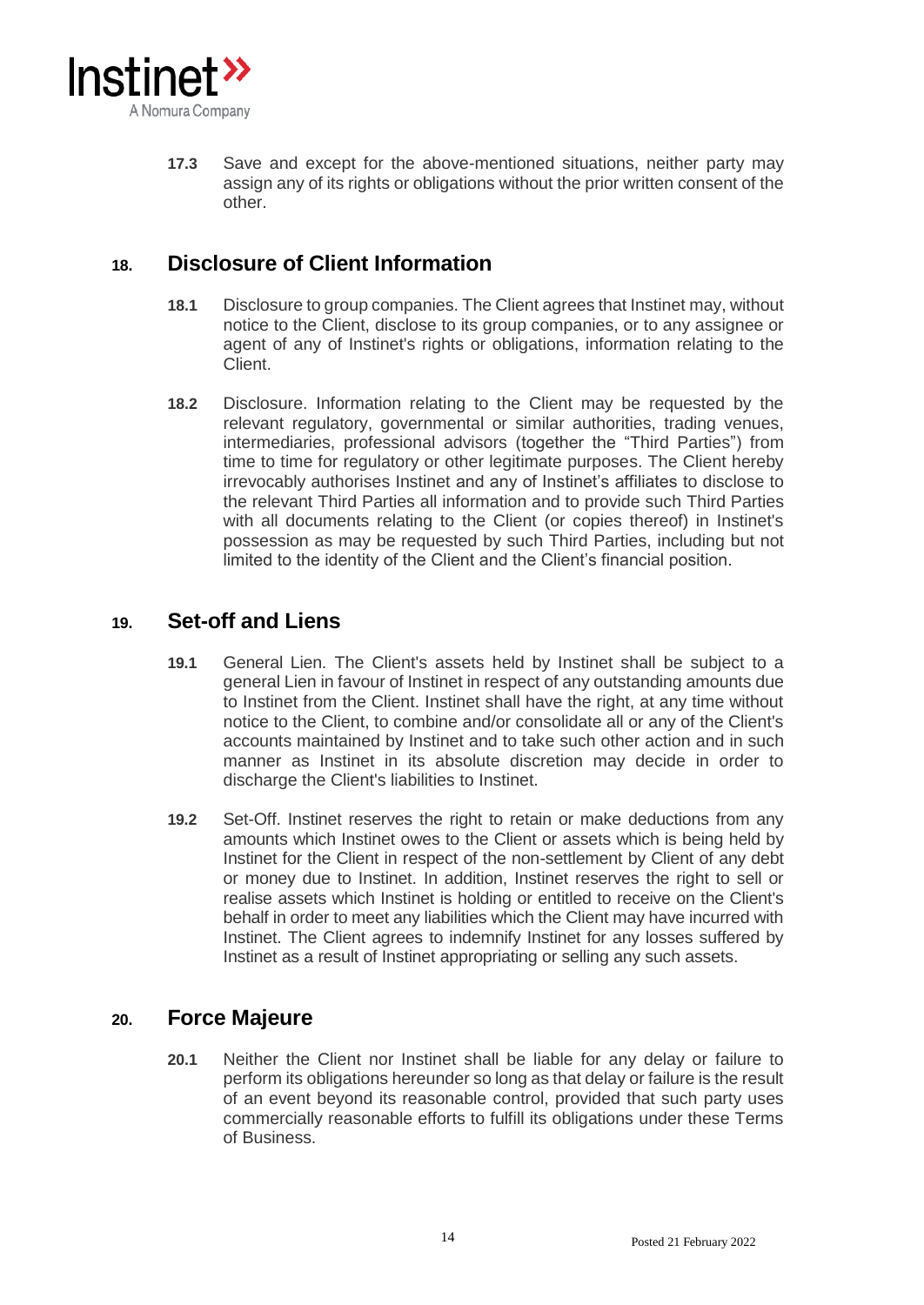

**17.3** Save and except for the above-mentioned situations, neither party may assign any of its rights or obligations without the prior written consent of the other.

## **18. Disclosure of Client Information**

- **18.1** Disclosure to group companies. The Client agrees that Instinet may, without notice to the Client, disclose to its group companies, or to any assignee or agent of any of Instinet's rights or obligations, information relating to the Client.
- **18.2** Disclosure. Information relating to the Client may be requested by the relevant regulatory, governmental or similar authorities, trading venues, intermediaries, professional advisors (together the "Third Parties") from time to time for regulatory or other legitimate purposes. The Client hereby irrevocably authorises Instinet and any of Instinet's affiliates to disclose to the relevant Third Parties all information and to provide such Third Parties with all documents relating to the Client (or copies thereof) in Instinet's possession as may be requested by such Third Parties, including but not limited to the identity of the Client and the Client's financial position.

### **19. Set-off and Liens**

- **19.1** General Lien. The Client's assets held by Instinet shall be subject to a general Lien in favour of Instinet in respect of any outstanding amounts due to Instinet from the Client. Instinet shall have the right, at any time without notice to the Client, to combine and/or consolidate all or any of the Client's accounts maintained by Instinet and to take such other action and in such manner as Instinet in its absolute discretion may decide in order to discharge the Client's liabilities to Instinet.
- **19.2** Set-Off. Instinet reserves the right to retain or make deductions from any amounts which Instinet owes to the Client or assets which is being held by Instinet for the Client in respect of the non-settlement by Client of any debt or money due to Instinet. In addition, Instinet reserves the right to sell or realise assets which Instinet is holding or entitled to receive on the Client's behalf in order to meet any liabilities which the Client may have incurred with Instinet. The Client agrees to indemnify Instinet for any losses suffered by Instinet as a result of Instinet appropriating or selling any such assets.

### **20. Force Majeure**

**20.1** Neither the Client nor Instinet shall be liable for any delay or failure to perform its obligations hereunder so long as that delay or failure is the result of an event beyond its reasonable control, provided that such party uses commercially reasonable efforts to fulfill its obligations under these Terms of Business.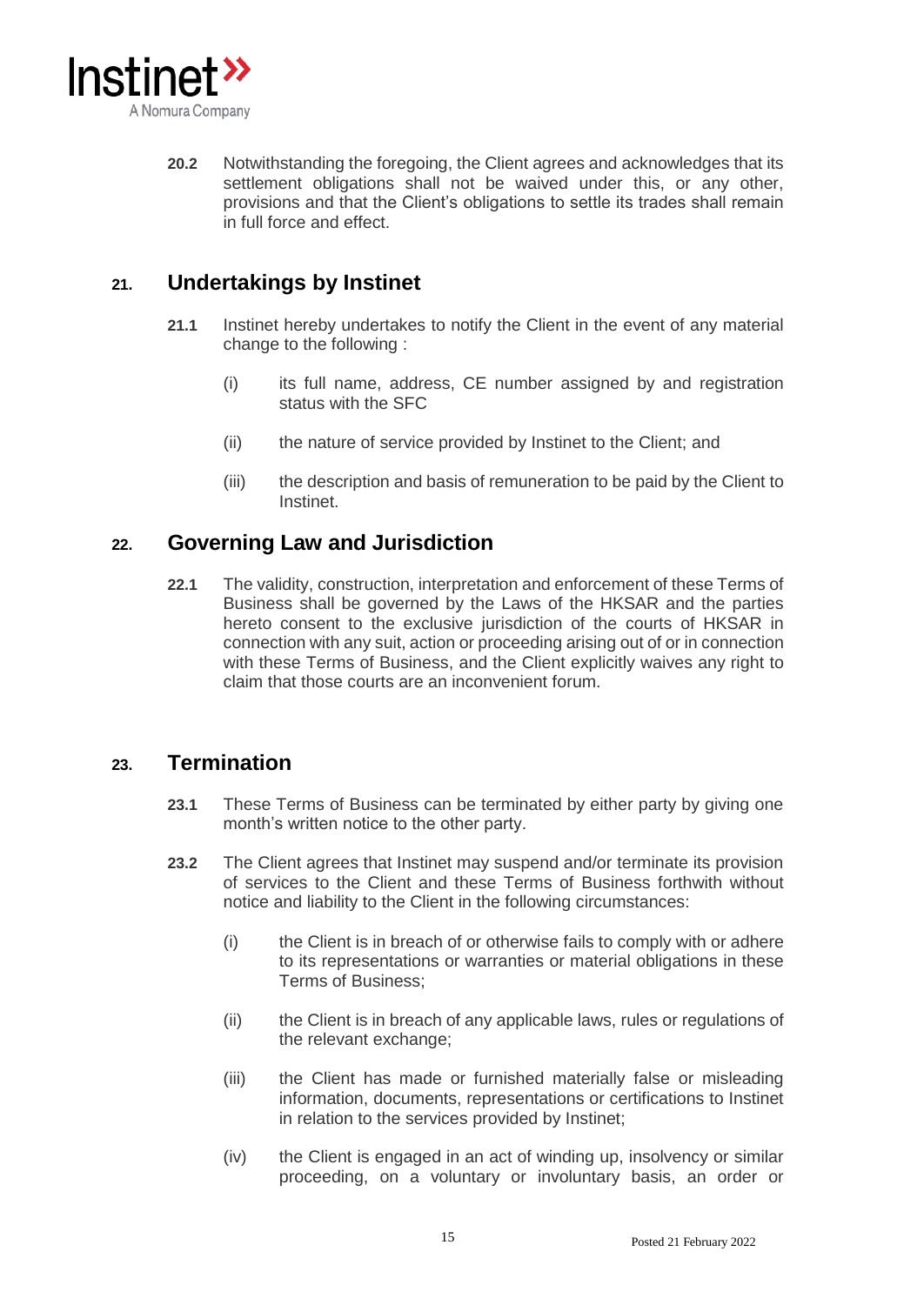

**20.2** Notwithstanding the foregoing, the Client agrees and acknowledges that its settlement obligations shall not be waived under this, or any other, provisions and that the Client's obligations to settle its trades shall remain in full force and effect.

## **21. Undertakings by Instinet**

- **21.1** Instinet hereby undertakes to notify the Client in the event of any material change to the following :
	- (i) its full name, address, CE number assigned by and registration status with the SFC
	- (ii) the nature of service provided by Instinet to the Client; and
	- (iii) the description and basis of remuneration to be paid by the Client to Instinet.

### **22. Governing Law and Jurisdiction**

**22.1** The validity, construction, interpretation and enforcement of these Terms of Business shall be governed by the Laws of the HKSAR and the parties hereto consent to the exclusive jurisdiction of the courts of HKSAR in connection with any suit, action or proceeding arising out of or in connection with these Terms of Business, and the Client explicitly waives any right to claim that those courts are an inconvenient forum.

### **23. Termination**

- **23.1** These Terms of Business can be terminated by either party by giving one month's written notice to the other party.
- **23.2** The Client agrees that Instinet may suspend and/or terminate its provision of services to the Client and these Terms of Business forthwith without notice and liability to the Client in the following circumstances:
	- (i) the Client is in breach of or otherwise fails to comply with or adhere to its representations or warranties or material obligations in these Terms of Business;
	- (ii) the Client is in breach of any applicable laws, rules or regulations of the relevant exchange;
	- (iii) the Client has made or furnished materially false or misleading information, documents, representations or certifications to Instinet in relation to the services provided by Instinet;
	- (iv) the Client is engaged in an act of winding up, insolvency or similar proceeding, on a voluntary or involuntary basis, an order or